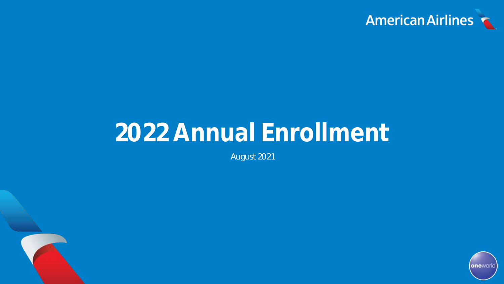

# **2022 Annual Enrollment**

August 2021

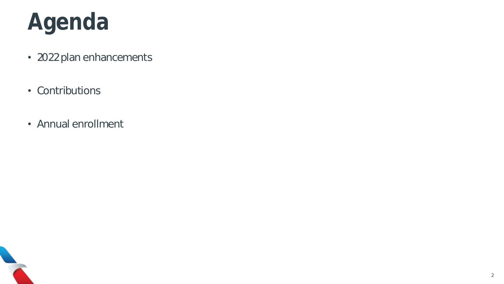

- 2022 plan enhancements
- Contributions
- Annual enrollment

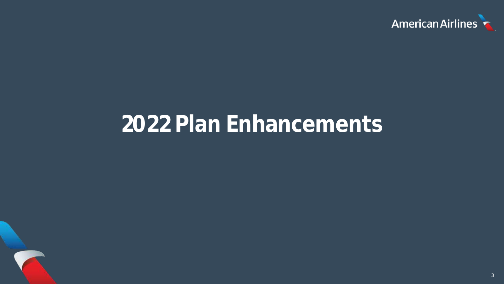

## **2022 Plan Enhancements**

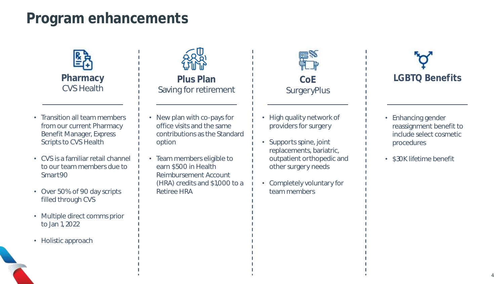#### **Program enhancements**



**Pharmacy**  CVS Health

- Transition all team members from our current Pharmacy Benefit Manager, Express Scripts to CVS Health
- CVS is a familiar retail channel to our team members due to Smart90
- Over 50% of 90 day scripts filled through CVS
- Multiple direct comms prior to Jan 1, 2022
- Holistic approach



- New plan with co-pays for office visits and the same contributions as the Standard option
- Team members eligible to earn \$500 in Health Reimbursement Account (HRA) credits and \$1,000 to a Retiree HRA



- High quality network of providers for surgery
- Supports spine, joint replacements, bariatric, outpatient orthopedic and other surgery needs
- Completely voluntary for team members



- Enhancing gender reassignment benefit to include select cosmetic procedures
- \$30K lifetime benefit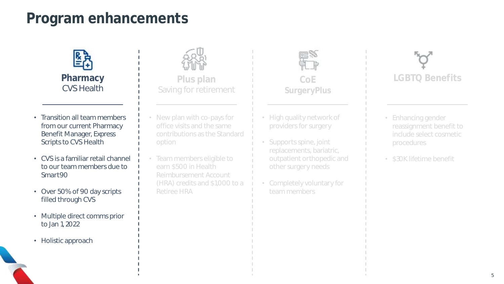#### **Program enhancements**



- Transition all team members from our current Pharmacy Benefit Manager, Express Scripts to CVS Health
- CVS is a familiar retail channel to our team members due to Smart90
- Over 50% of 90 day scripts filled through CVS
- Multiple direct comms prior to Jan 1, 2022
- Holistic approach



**Plus plan** Saving for retirement

- New plan with co-pays for office visits and the same contributions as the Standard option
- Team members eligible to earn \$500 in Health Reimbursement Account (HRA) credits and \$1,000 to a Retiree HRA



- High quality network of providers for surgery
- Supports spine, joint replacements, bariatric, outpatient orthopedic and other surgery needs
- Completely voluntary for team members



- Enhancing gender reassignment benefit to include select cosmetic procedures
- \$30K lifetime benefit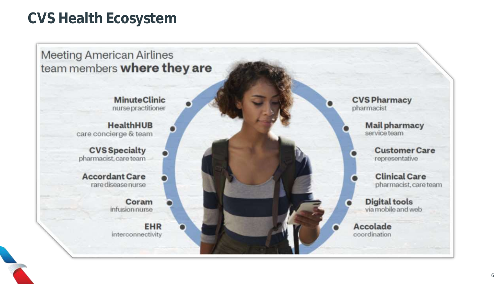#### **CVS Health Ecosystem**

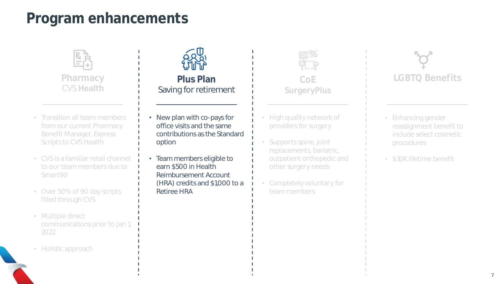#### **Program enhancements**



**Pharmacy**  CVS **Health**

- Transition all team members from our current Pharmacy Benefit Manager, Express Scripts to CVS Health
- CVS is a familiar retail channel to our team members due to Smart90
- Over 50% of 90 day scripts filled through CVS
- Multiple direct communications prior to Jan 1, 2022
- Holistic approach



- New plan with co-pays for office visits and the same contributions as the Standard option
- Team members eligible to earn \$500 in Health Reimbursement Account (HRA) credits and \$1,000 to a Retiree HRA



- High quality network of providers for surgery
- Supports spine, joint replacements, bariatric, outpatient orthopedic and other surgery needs
- Completely voluntary for team members



- Enhancing gender reassignment benefit to include select cosmetic procedures
- \$30K lifetime benefit

*7*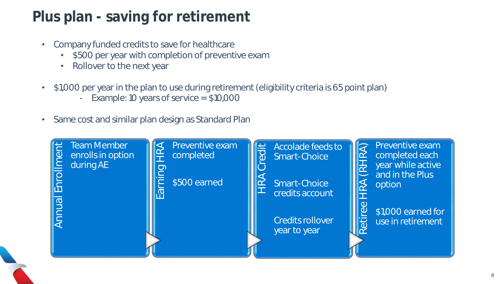### **Plus plan - saving for retirement**

- Company funded credits to save for healthcare
	- \$500 per year with completion of preventive exam
	- Rollover to the next year
- \$1,000 per year in the plan to use during retirement (eligibility criteria is 65 point plan)
	- Example: 10 years of service = \$10,000
- Same cost and similar plan design as Standard Plan

| <b>Team Member</b><br>enrolls in option<br>during AE | Preventive exam<br>completed<br>$\bigcirc$ | Accolade feeds to<br>Smart-Choice       | Preventive exam<br>completed each<br>year while active |
|------------------------------------------------------|--------------------------------------------|-----------------------------------------|--------------------------------------------------------|
| Enr                                                  | \$500 earned<br>$\overline{\mathbf{P}}$    | Smart-Choice<br>credits account         | and in the Plus<br>option                              |
| IDAI                                                 |                                            | <b>Credits rollover</b><br>year to year | \$1,000 earned for<br>use in retirement                |
|                                                      |                                            |                                         |                                                        |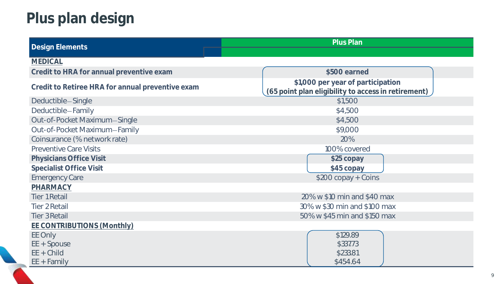## **Plus plan design**

| Design Elements                                  | Plus Plan                                                                                |  |  |
|--------------------------------------------------|------------------------------------------------------------------------------------------|--|--|
|                                                  |                                                                                          |  |  |
| MEDICAL                                          |                                                                                          |  |  |
| Credit to HRA for annual preventive exam         | \$500 earned                                                                             |  |  |
| Credit to Retiree HRA for annual preventive exam | \$1,000 per year of participation<br>(65 point plan eligibility to access in retirement) |  |  |
| Deductible-Single                                | \$1,500                                                                                  |  |  |
| Deductible-Family                                | \$4,500                                                                                  |  |  |
| Out-of-Pocket Maximum-Single                     | \$4,500                                                                                  |  |  |
| Out-of-Pocket Maximum-Family                     | \$9,000                                                                                  |  |  |
| Coinsurance (% network rate)                     | 20%                                                                                      |  |  |
| <b>Preventive Care Visits</b>                    | 100% covered                                                                             |  |  |
| Physicians Office Visit                          | \$25 copay                                                                               |  |  |
| <b>Specialist Office Visit</b>                   | \$45 copay                                                                               |  |  |
| <b>Emergency Care</b>                            | \$200 copay + Coins                                                                      |  |  |
| PHARMACY                                         |                                                                                          |  |  |
| Tier 1 Retail                                    | 20% w \$10 min and \$40 max                                                              |  |  |
| Tier 2 Retail                                    | 30% w \$30 min and \$100 max                                                             |  |  |
| Tier 3 Retail                                    | 50% w \$45 min and \$150 max                                                             |  |  |
| EE CONTRIBUTIONS (Monthly)                       |                                                                                          |  |  |
| EE Only<br>$EE + Spouse$                         | \$129.89<br>\$337.73                                                                     |  |  |
| $EE + Child$                                     | \$233.81                                                                                 |  |  |
| $EE + Family$                                    | \$454.64                                                                                 |  |  |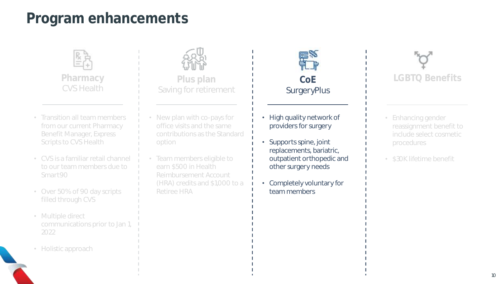#### **Program enhancements**



**Pharmacy**  CVS Health

- Transition all team members from our current Pharmacy Benefit Manager, Express Scripts to CVS Health
- CVS is a familiar retail channel to our team members due to Smart90
- Over 50% of 90 day scripts filled through CVS
- Multiple direct communications prior to Jan 1, 2022
- Holistic approach



Saving for retirement

- New plan with co-pays for office visits and the same contributions as the Standard option
- Team members eligible to earn \$500 in Health Reimbursement Account (HRA) credits and \$1,000 to a Retiree HRA



- High quality network of providers for surgery
- Supports spine, joint replacements, bariatric, outpatient orthopedic and other surgery needs
- Completely voluntary for team members



- Enhancing gender reassignment benefit to include select cosmetic procedures
- \$30K lifetime benefit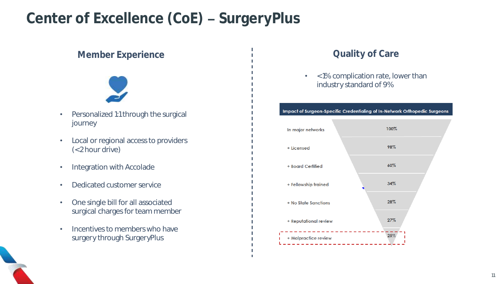#### Center of Excellence (CoE) - SurgeryPlus

#### **Member Experience Care Quality of Care**



- Personalized 1:1 through the surgical journey
- Local or regional access to providers (< 2 hour drive)
- Integration with Accolade
- Dedicated customer service
- One single bill for all associated surgical charges for team member
- Incentives to members who have surgery through SurgeryPlus

• < 1% complication rate, lower than industry standard of 9%

#### Impact of Surgeon-Specific Credentialing of In-Network Orthopedic Surgeons

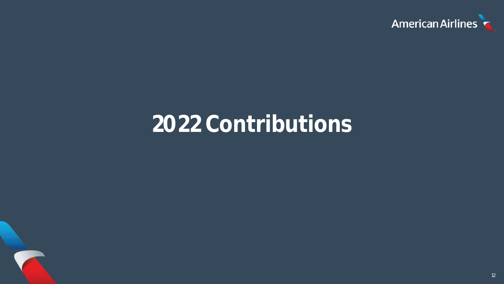

## **2022 Contributions**

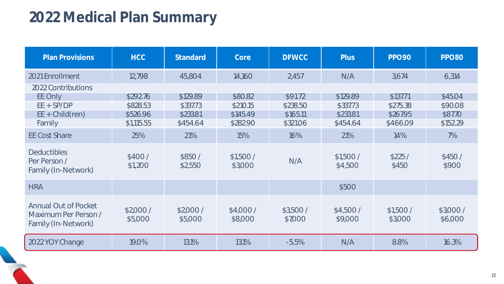#### **2022 Medical Plan Summary**

| <b>Plan Provisions</b>                                              | HCC                 | Standard            | Core                | <b>DFWCC</b>        | <b>Plus</b>         | <b>PPO90</b>        | <b>PPO80</b>        |
|---------------------------------------------------------------------|---------------------|---------------------|---------------------|---------------------|---------------------|---------------------|---------------------|
| 2021 Enrollment                                                     | 12,798              | 45,804              | 14,160              | 2,457               | N/A                 | 3,674               | 6,314               |
| 2022 Contributions                                                  |                     |                     |                     |                     |                     |                     |                     |
| EE Only                                                             | \$292.76            | \$129.89            | \$80.82             | \$91.72             | \$129.89            | \$137.71            | \$45.04             |
| $EE + SP/DP$                                                        | \$828.53            | \$337.73            | \$210.15            | \$238.50            | \$337.73            | \$275.38            | \$90.08             |
| $EE + Child(ren)$                                                   | \$526.96            | \$233.81            | \$145.49            | \$165.11            | \$233.81            | \$267.95            | \$87.70             |
| Family                                                              | \$1,115.55          | \$454.64            | \$282.90            | \$321.06            | \$454.64            | \$466.09            | \$152.29            |
| <b>EE Cost Share</b>                                                | 25%                 | 21%                 | 15%                 | 16%                 | 21%                 | 14%                 | 7%                  |
| Deductibles<br>Per Person /<br>Family (In-Network)                  | \$400/<br>\$1,200   | \$850/<br>\$2,550   | \$1,500/<br>\$3,000 | N/A                 | \$1,500/<br>\$4,500 | \$225/<br>\$450     | \$450/<br>\$900     |
| <b>HRA</b>                                                          |                     |                     |                     |                     | \$500               |                     |                     |
| Annual Out of Pocket<br>Maximum Per Person /<br>Family (In-Network) | \$2,000/<br>\$5,000 | \$2,000/<br>\$5,000 | \$4,000/<br>\$8,000 | \$3,500/<br>\$7,000 | \$4,500/<br>\$9,000 | \$1,500/<br>\$3,000 | \$3,000/<br>\$6,000 |
| 2022 YOY Change                                                     | 19.0%               | 13.1%               | 13.1%               | $-5.5%$             | N/A                 | 8.8%                | 16.3%               |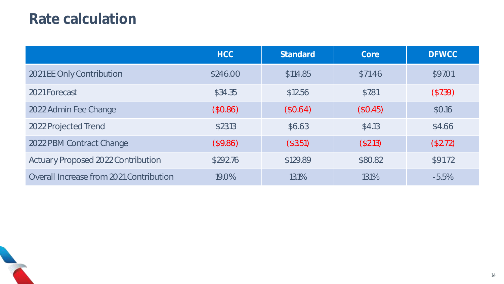#### **Rate calculation**

|                                         | <b>HCC</b> | Standard | Core     | <b>DFWCC</b> |
|-----------------------------------------|------------|----------|----------|--------------|
| 2021 EE Only Contribution               | \$246.00   | \$114.85 | \$71.46  | \$97.01      |
| 2021 Forecast                           | \$34.35    | \$12.56  | \$7.81   | (\$7.39)     |
| 2022 Admin Fee Change                   | (\$0.86)   | (\$0.64) | (\$0.45) | \$0.16       |
| 2022 Projected Trend                    | \$23.13    | \$6.63   | \$4.13   | \$4.66       |
| 2022 PBM Contract Change                | (\$9.86)   | (\$3.51) | (\$2.13) | (\$2.72)     |
| Actuary Proposed 2022 Contribution      | \$292.76   | \$129.89 | \$80.82  | \$91.72      |
| Overall Increase from 2021 Contribution | 19.0%      | 13.1%    | 13.1%    | $-5.5\%$     |

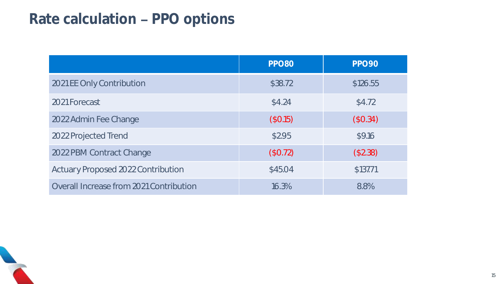#### Rate calculation - PPO options

|                                         | <b>PPO80</b> | <b>PPO90</b> |
|-----------------------------------------|--------------|--------------|
| 2021 EE Only Contribution               | \$38.72      | \$126.55     |
| 2021 Forecast                           | \$4.24       | \$4.72       |
| 2022 Admin Fee Change                   | (\$0.15)     | (\$0.34)     |
| 2022 Projected Trend                    | \$2.95       | \$9.16       |
| 2022 PBM Contract Change                | (\$0.72)     | (\$2.38)     |
| Actuary Proposed 2022 Contribution      | \$45.04      | \$137.71     |
| Overall Increase from 2021 Contribution | 16.3%        | 8.8%         |

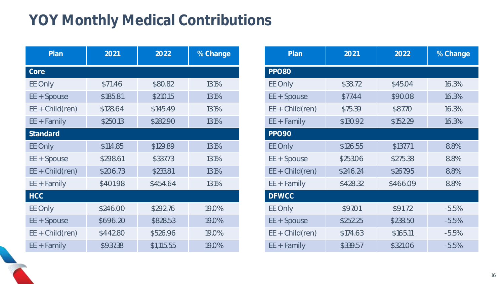#### **YOY Monthly Medical Contributions**

| Plan               | 2021     | 2022       | % Change |
|--------------------|----------|------------|----------|
| Core               |          |            |          |
| EE Only            | \$71.46  | \$80.82    | 13.1%    |
| $EE + Spouse$      | \$185.81 | \$210.15   | 13.1%    |
| $EE + Child (ren)$ | \$128.64 | \$145.49   | 13.1%    |
| $EE + Family$      | \$250.13 | \$282.90   | 13.1%    |
| Standard           |          |            |          |
| EE Only            | \$114.85 | \$129.89   | 13.1%    |
| $EE + Spouse$      | \$298.61 | \$337.73   | 13.1%    |
| $EE + Child (ren)$ | \$206.73 | \$233.81   | 13.1%    |
| $EE + Family$      | \$401.98 | \$454.64   | 13.1%    |
| <b>HCC</b>         |          |            |          |
| EE Only            | \$246.00 | \$292.76   | 19.0%    |
| $EE + Spouse$      | \$696.20 | \$828.53   | 19.0%    |
| $EE + Child(ren)$  | \$442.80 | \$526.96   | 19.0%    |
| $EE + Family$      | \$937.38 | \$1,115.55 | 19.0%    |

| Plan               | 2021     | 2022     | % Change |
|--------------------|----------|----------|----------|
| <b>PPO80</b>       |          |          |          |
| EE Only            | \$38.72  | \$45.04  | 16.3%    |
| $EE + Spouse$      | \$77.44  | \$90.08  | 16.3%    |
| $EE + Child (ren)$ | \$75.39  | \$87.70  | 16.3%    |
| $EE + Family$      | \$130.92 | \$152.29 | 16.3%    |
| <b>PPO90</b>       |          |          |          |
| EE Only            | \$126.55 | \$137.71 | 8.8%     |
| $EE + Spouse$      | \$253.06 | \$275.38 | 8.8%     |
| $EE + Child (ren)$ | \$246.24 | \$267.95 | 8.8%     |
| $EE + Family$      | \$428.32 | \$466.09 | 8.8%     |
| <b>DFWCC</b>       |          |          |          |
| EE Only            | \$97.01  | \$91.72  | $-5.5%$  |
| $EE + Spouse$      | \$252.25 | \$238.50 | $-5.5%$  |
| $EE + Child (ren)$ | \$174.63 | \$165.11 | $-5.5%$  |
| $EE + Family$      | \$339.57 | \$321.06 | $-5.5%$  |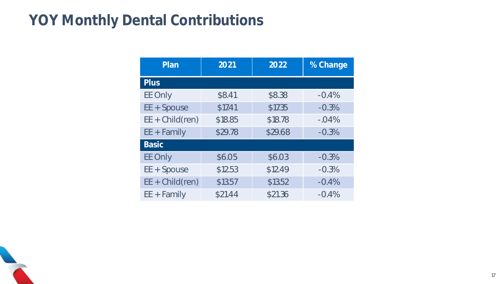#### **YOY Monthly Dental Contributions**

| Plan               | 2021    | 2022    | % Change |
|--------------------|---------|---------|----------|
| Plus               |         |         |          |
| EE Only            | \$8.41  | \$8.38  | $-0.4%$  |
| $EE + Spouse$      | \$17.41 | \$17.35 | $-0.3%$  |
| $EE + Child (ren)$ | \$18.85 | \$18.78 | $-04%$   |
| $EE + Family$      | \$29.78 | \$29.68 | $-0.3%$  |
| <b>Basic</b>       |         |         |          |
| EE Only            | \$6.05  | \$6.03  | $-0.3%$  |
| $EE + Spouse$      | \$12.53 | \$12.49 | $-0.3%$  |
| $EE + Child (ren)$ | \$13.57 | \$13.52 | $-0.4%$  |
| $EE + Family$      | \$21.44 | \$21.36 | $-0.4%$  |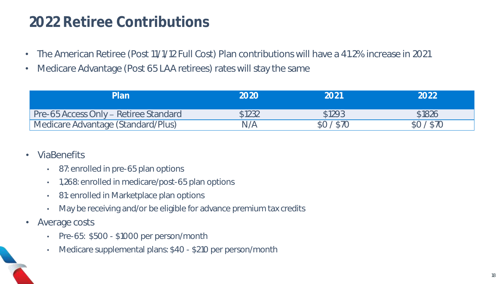### **2022 Retiree Contributions**

- The American Retiree (Post 11/1/12 Full Cost) Plan contributions will have a 41.2% increase in 2021
- Medicare Advantage (Post 65 LAA retirees) rates will stay the same

| Plan                                  | 2020   | 2021     | 2022     |
|---------------------------------------|--------|----------|----------|
| Pre-65 Access Only – Retiree Standard | \$1232 | \$1293   | \$1826   |
| Medicare Advantage (Standard/Plus)    | N/A    | \$0/\$70 | \$0/\$70 |

- ViaBenefits
	- 87: enrolled in pre-65 plan options
	- 1,268: enrolled in medicare/post-65 plan options
	- 81: enrolled in Marketplace plan options
	- May be receiving and/or be eligible for advance premium tax credits
- Average costs
	- Pre-65: \$500 \$1000 per person/month
	- Medicare supplemental plans: \$40 \$210 per person/month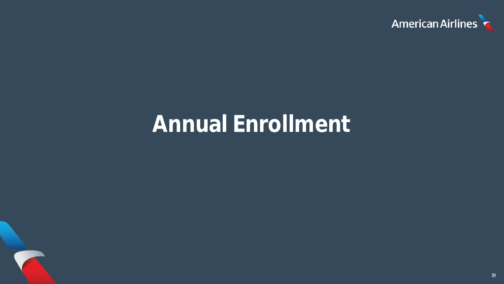

## **Annual Enrollment**

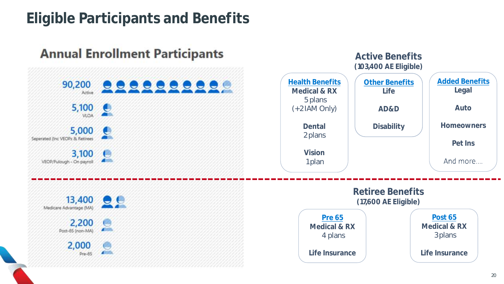### **Eligible Participants and Benefits**



#### *20*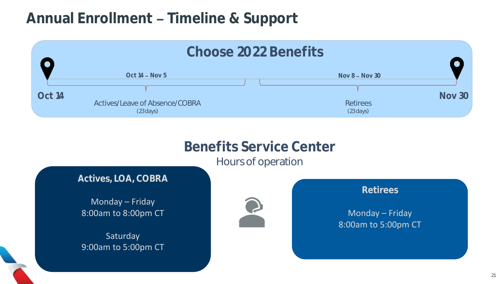#### Annual Enrollment - Timeline & Support



#### **Benefits Service Center**

Hours of operation

**Actives, LOA, COBRA**

Monday – Friday 8:00am to 8:00pm CT

**Saturday** 9:00am to 5:00pm CT



**Retirees**

Monday – Friday 8:00am to 5:00pm CT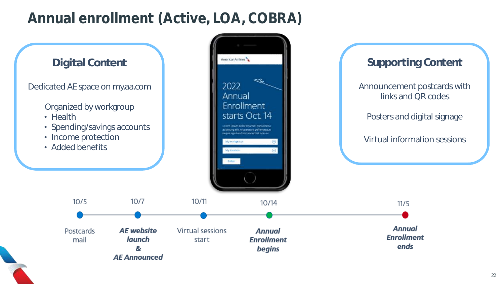### **Annual enrollment (Active, LOA, COBRA)**